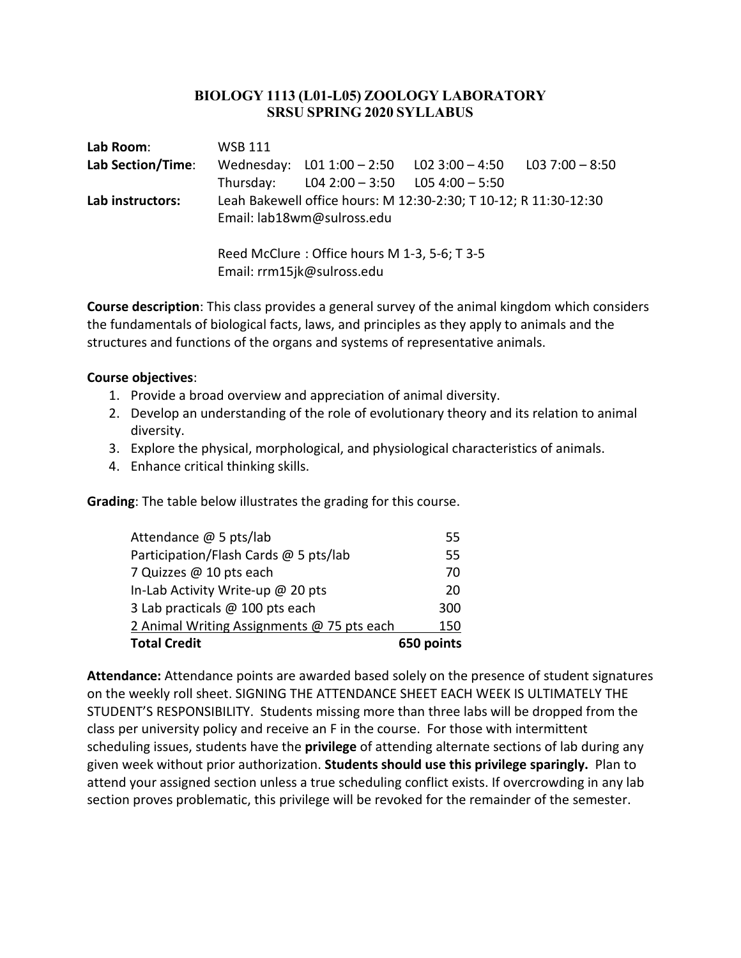## **BIOLOGY 1113 (L01-L05) ZOOLOGY LABORATORY SRSU SPRING 2020 SYLLABUS**

| Lab Room:         | <b>WSB 111</b> |                                                                            |                                                                  |  |
|-------------------|----------------|----------------------------------------------------------------------------|------------------------------------------------------------------|--|
| Lab Section/Time: |                |                                                                            | Wednesday: $L01 1:00 - 2:50$ $L02 3:00 - 4:50$ $L03 7:00 - 8:50$ |  |
|                   | Thursday:      | L04 2:00 $-$ 3:50 L05 4:00 $-$ 5:50                                        |                                                                  |  |
| Lab instructors:  |                | Email: lab18wm@sulross.edu                                                 | Leah Bakewell office hours: M 12:30-2:30; T 10-12; R 11:30-12:30 |  |
|                   |                | Reed McClure: Office hours M 1-3, 5-6; T 3-5<br>Email: rrm15jk@sulross.edu |                                                                  |  |

**Course description**: This class provides a general survey of the animal kingdom which considers the fundamentals of biological facts, laws, and principles as they apply to animals and the structures and functions of the organs and systems of representative animals.

## **Course objectives**:

- 1. Provide a broad overview and appreciation of animal diversity.
- 2. Develop an understanding of the role of evolutionary theory and its relation to animal diversity.
- 3. Explore the physical, morphological, and physiological characteristics of animals.
- 4. Enhance critical thinking skills.

**Grading**: The table below illustrates the grading for this course.

| Attendance @ 5 pts/lab                     | 55         |
|--------------------------------------------|------------|
| Participation/Flash Cards @ 5 pts/lab      | 55         |
| 7 Quizzes @ 10 pts each                    | 70         |
| In-Lab Activity Write-up @ 20 pts          | 20         |
| 3 Lab practicals @ 100 pts each            | 300        |
| 2 Animal Writing Assignments @ 75 pts each | 150        |
| <b>Total Credit</b>                        | 650 points |

**Attendance:** Attendance points are awarded based solely on the presence of student signatures on the weekly roll sheet. SIGNING THE ATTENDANCE SHEET EACH WEEK IS ULTIMATELY THE STUDENT'S RESPONSIBILITY. Students missing more than three labs will be dropped from the class per university policy and receive an F in the course. For those with intermittent scheduling issues, students have the **privilege** of attending alternate sections of lab during any given week without prior authorization. **Students should use this privilege sparingly.** Plan to attend your assigned section unless a true scheduling conflict exists. If overcrowding in any lab section proves problematic, this privilege will be revoked for the remainder of the semester.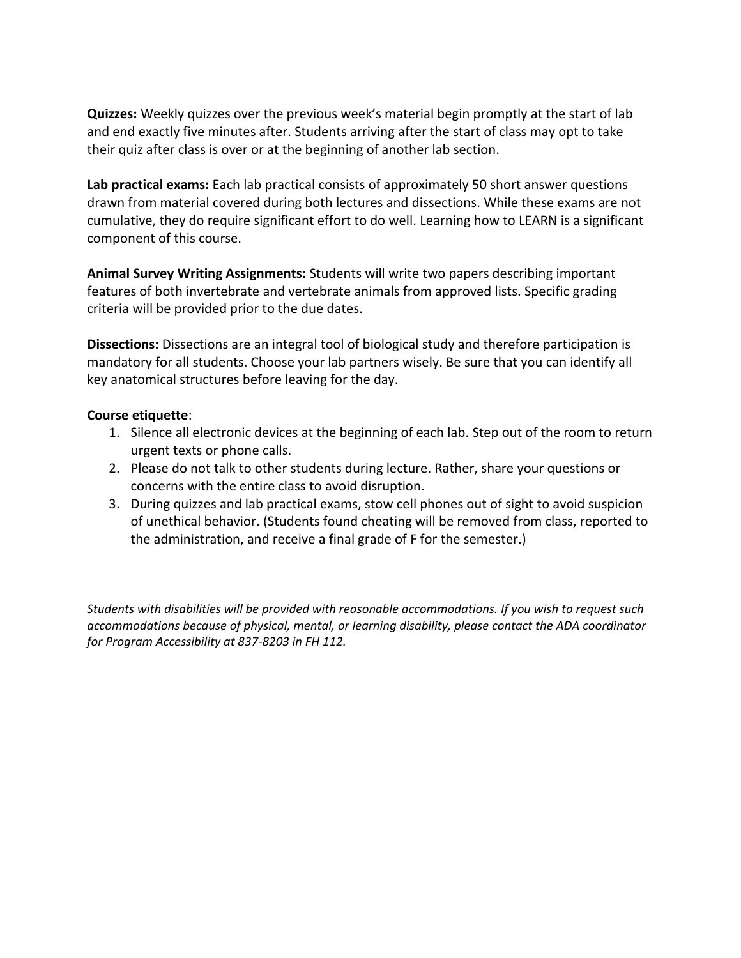**Quizzes:** Weekly quizzes over the previous week's material begin promptly at the start of lab and end exactly five minutes after. Students arriving after the start of class may opt to take their quiz after class is over or at the beginning of another lab section.

**Lab practical exams:** Each lab practical consists of approximately 50 short answer questions drawn from material covered during both lectures and dissections. While these exams are not cumulative, they do require significant effort to do well. Learning how to LEARN is a significant component of this course.

**Animal Survey Writing Assignments:** Students will write two papers describing important features of both invertebrate and vertebrate animals from approved lists. Specific grading criteria will be provided prior to the due dates.

**Dissections:** Dissections are an integral tool of biological study and therefore participation is mandatory for all students. Choose your lab partners wisely. Be sure that you can identify all key anatomical structures before leaving for the day.

## **Course etiquette**:

- 1. Silence all electronic devices at the beginning of each lab. Step out of the room to return urgent texts or phone calls.
- 2. Please do not talk to other students during lecture. Rather, share your questions or concerns with the entire class to avoid disruption.
- 3. During quizzes and lab practical exams, stow cell phones out of sight to avoid suspicion of unethical behavior. (Students found cheating will be removed from class, reported to the administration, and receive a final grade of F for the semester.)

*Students with disabilities will be provided with reasonable accommodations. If you wish to request such accommodations because of physical, mental, or learning disability, please contact the ADA coordinator for Program Accessibility at 837-8203 in FH 112.*